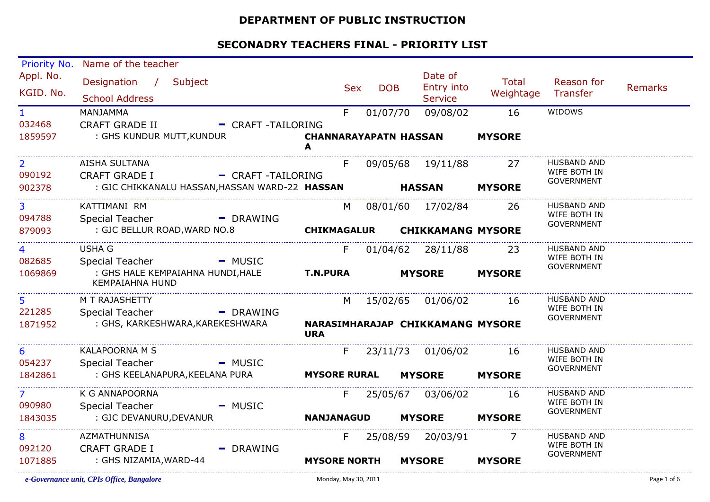#### **DEPARTMENT OF PUBLIC INSTRUCTION**

| Priority No.           | Name of the teacher                                                            |                        |                                   |            |                          |  |                                         |                           |                                    |                |
|------------------------|--------------------------------------------------------------------------------|------------------------|-----------------------------------|------------|--------------------------|--|-----------------------------------------|---------------------------|------------------------------------|----------------|
| Appl. No.<br>KGID. No. | Designation / Subject<br><b>School Address</b>                                 |                        |                                   | <b>Sex</b> | <b>DOB</b>               |  | Date of<br>Entry into<br><b>Service</b> | <b>Total</b><br>Weightage | Reason for<br>Transfer             | <b>Remarks</b> |
| $\mathbf{1}$           | <b>MANJAMMA</b>                                                                |                        |                                   | F.         | 01/07/70                 |  | 09/08/02                                | 16                        | WIDOWS                             |                |
| 032468<br>1859597      | <b>CRAFT GRADE II</b><br>: GHS KUNDUR MUTT, KUNDUR                             | - CRAFT-TAILORING      | <b>CHANNARAYAPATN HASSAN</b><br>A |            |                          |  |                                         | <b>MYSORE</b>             |                                    |                |
| $\overline{2}$         | AISHA SULTANA                                                                  |                        |                                   | F.         |                          |  | 09/05/68 19/11/88                       | 27                        | <b>HUSBAND AND</b>                 |                |
| 090192<br>902378       | <b>CRAFT GRADE I</b><br>: GJC CHIKKANALU HASSAN, HASSAN WARD-22 HASSAN         | - CRAFT -TAILORING     |                                   |            |                          |  | <b>HASSAN</b>                           | <b>MYSORE</b>             | WIFE BOTH IN<br><b>GOVERNMENT</b>  |                |
|                        |                                                                                |                        |                                   |            |                          |  |                                         |                           |                                    |                |
| 3                      | KATTIMANI RM                                                                   |                        |                                   | M          |                          |  | 08/01/60 17/02/84                       | -26                       | <b>HUSBAND AND</b><br>WIFE BOTH IN |                |
| 094788<br>879093       | <b>Special Teacher</b><br>: GJC BELLUR ROAD, WARD NO.8                         | - DRAWING              | <b>CHIKMAGALUR</b>                |            | <b>CHIKKAMANG MYSORE</b> |  |                                         | <b>GOVERNMENT</b>         |                                    |                |
| 4                      | <b>USHA G</b>                                                                  |                        |                                   | F.         |                          |  | 01/04/62 28/11/88                       | 23                        | <b>HUSBAND AND</b>                 |                |
| 082685<br>1069869      | Special Teacher<br>: GHS HALE KEMPAIAHNA HUNDI, HALE<br><b>KEMPAIAHNA HUND</b> | - MUSIC                | <b>T.N.PURA</b>                   |            |                          |  | <b>MYSORE</b>                           | <b>MYSORE</b>             | WIFE BOTH IN<br><b>GOVERNMENT</b>  |                |
| 5                      | M T RAJASHETTY                                                                 |                        |                                   | M          |                          |  | 15/02/65 01/06/02                       | 16                        | <b>HUSBAND AND</b>                 |                |
| 221285                 | <b>Special Teacher</b>                                                         | - DRAWING              |                                   |            |                          |  |                                         |                           | WIFE BOTH IN<br><b>GOVERNMENT</b>  |                |
| 1871952                | : GHS, KARKESHWARA, KAREKESHWARA                                               |                        | <b>URA</b>                        |            |                          |  | NARASIMHARAJAP CHIKKAMANG MYSORE        |                           |                                    |                |
| 6<br>054237            | <b>KALAPOORNA M S</b><br><b>Special Teacher</b>                                |                        |                                   | F          |                          |  | 23/11/73 01/06/02                       | 16                        | <b>HUSBAND AND</b><br>WIFE BOTH IN |                |
| 1842861                | : GHS KEELANAPURA, KEELANA PURA                                                | - MUSIC                | <b>MYSORE RURAL</b>               |            |                          |  | <b>MYSORE</b>                           | <b>MYSORE</b>             | <b>GOVERNMENT</b>                  |                |
| $\overline{7}$         | K G ANNAPOORNA                                                                 |                        |                                   | F.         |                          |  | 25/05/67 03/06/02                       | 16                        | <b>HUSBAND AND</b>                 |                |
| 090980                 | <b>Special Teacher</b>                                                         | - MUSIC                |                                   |            |                          |  |                                         |                           | WIFE BOTH IN<br><b>GOVERNMENT</b>  |                |
| 1843035                | : GJC DEVANURU, DEVANUR                                                        |                        | <b>NANJANAGUD</b>                 |            |                          |  | <b>MYSORE</b>                           | <b>MYSORE</b>             |                                    |                |
| 8                      | <b>AZMATHUNNISA</b>                                                            |                        |                                   | F.         |                          |  | 25/08/59 20/03/91                       | 7                         | <b>HUSBAND AND</b><br>WIFE BOTH IN |                |
| 092120<br>1071885      | <b>CRAFT GRADE I</b><br>: GHS NIZAMIA, WARD-44                                 | $\blacksquare$ DRAWING | <b>MYSORE NORTH</b>               |            |                          |  | <b>MYSORE</b>                           | <b>MYSORE</b>             | <b>GOVERNMENT</b>                  |                |
|                        |                                                                                |                        |                                   |            |                          |  |                                         |                           |                                    |                |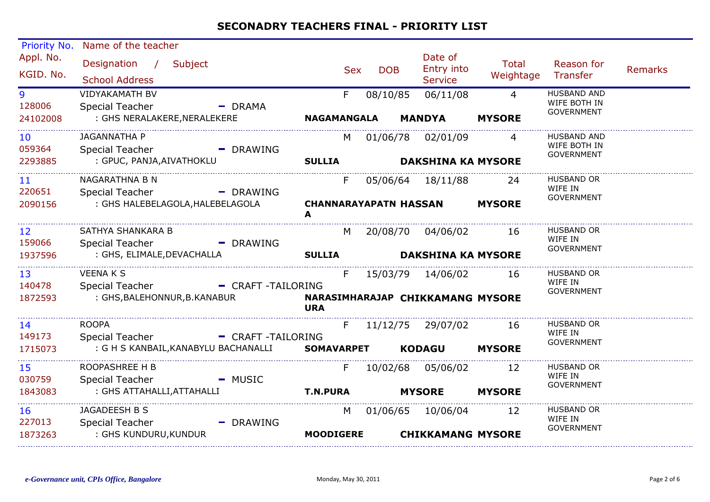| Priority No.                | Name of the teacher                                          |                                                |                           |                                         |                    |                                                         |                |
|-----------------------------|--------------------------------------------------------------|------------------------------------------------|---------------------------|-----------------------------------------|--------------------|---------------------------------------------------------|----------------|
| Appl. No.<br>KGID. No.      | Designation /<br>Subject<br><b>School Address</b>            | <b>Sex</b>                                     | <b>DOB</b>                | Date of<br>Entry into<br><b>Service</b> | Total<br>Weightage | Reason for<br>Transfer                                  | <b>Remarks</b> |
| 9<br>128006                 | <b>VIDYAKAMATH BV</b><br><b>Special Teacher</b><br>- DRAMA   | F.                                             | 08/10/85                  | 06/11/08                                | $\overline{4}$     | <b>HUSBAND AND</b><br>WIFE BOTH IN<br><b>GOVERNMENT</b> |                |
| 24102008                    | : GHS NERALAKERE, NERALEKERE                                 | <b>NAGAMANGALA</b>                             |                           | <b>MANDYA</b>                           | <b>MYSORE</b>      |                                                         |                |
| 10 <sup>°</sup><br>059364   | JAGANNATHA P<br><b>Special Teacher</b><br>- DRAWING          |                                                |                           | M 01/06/78 02/01/09                     | 4                  | <b>HUSBAND AND</b><br>WIFE BOTH IN                      |                |
| 2293885                     | : GPUC, PANJA, AIVATHOKLU                                    | <b>SULLIA</b>                                  | <b>DAKSHINA KA MYSORE</b> |                                         |                    | <b>GOVERNMENT</b>                                       |                |
| 11<br>220651                | NAGARATHNA B N<br>Special Teacher<br>- DRAWING               | F                                              |                           | 05/06/64 18/11/88 24                    |                    | <b>HUSBAND OR</b><br>WIFE IN                            |                |
| 2090156                     | : GHS HALEBELAGOLA, HALEBELAGOLA                             | <b>CHANNARAYAPATN HASSAN</b><br>A              |                           |                                         | <b>MYSORE</b>      | GOVERNMENT                                              |                |
| $12 \overline{ }$<br>159066 | SATHYA SHANKARA B<br><b>Special Teacher</b><br>- DRAWING     |                                                |                           | M 20/08/70 04/06/02                     | 16                 | <b>HUSBAND OR</b><br>WIFE IN<br><b>GOVERNMENT</b>       |                |
| 1937596                     | : GHS, ELIMALE, DEVACHALLA                                   | <b>SULLIA</b>                                  |                           | <b>DAKSHINA KA MYSORE</b>               |                    |                                                         |                |
| 13<br>140478                | <b>VEENAKS</b><br>Special Teacher - CRAFT - TAILORING        | F                                              |                           | 15/03/79  14/06/02  16                  |                    | <b>HUSBAND OR</b><br>WIFE IN                            |                |
| 1872593                     | : GHS, BALEHONNUR, B. KANABUR                                | NARASIMHARAJAP CHIKKAMANG MYSORE<br><b>URA</b> |                           |                                         |                    | <b>GOVERNMENT</b>                                       |                |
| 14<br>149173                | <b>ROOPA</b><br><b>Special Teacher</b><br>- CRAFT -TAILORING | F                                              |                           | 11/12/75 29/07/02                       | - 16               | <b>HUSBAND OR</b><br>WIFE IN<br>GOVERNMENT              |                |
| 1715073                     | : G H S KANBAIL, KANABYLU BACHANALLI                         | <b>SOMAVARPET</b>                              |                           | <b>KODAGU</b>                           | <b>MYSORE</b>      |                                                         |                |
| 15<br>030759                | ROOPASHREE H B<br>Special Teacher<br>- MUSIC                 | F                                              |                           | 10/02/68 05/06/02                       | 12                 | <b>HUSBAND OR</b><br>WIFE IN<br>GOVERNMENT              |                |
| 1843083                     | : GHS ATTAHALLI, ATTAHALLI                                   | <b>T.N.PURA</b>                                |                           | <b>MYSORE</b>                           | <b>MYSORE</b>      |                                                         |                |
| 16<br>227013                | JAGADEESH B S<br>Special Teacher<br>$\blacksquare$ DRAWING   | M                                              |                           | 01/06/65 10/06/04                       | 12                 | <b>HUSBAND OR</b><br>WIFE IN<br>GOVERNMENT              |                |
| 1873263                     | : GHS KUNDURU, KUNDUR                                        | <b>MOODIGERE</b>                               |                           | <b>CHIKKAMANG MYSORE</b>                |                    |                                                         |                |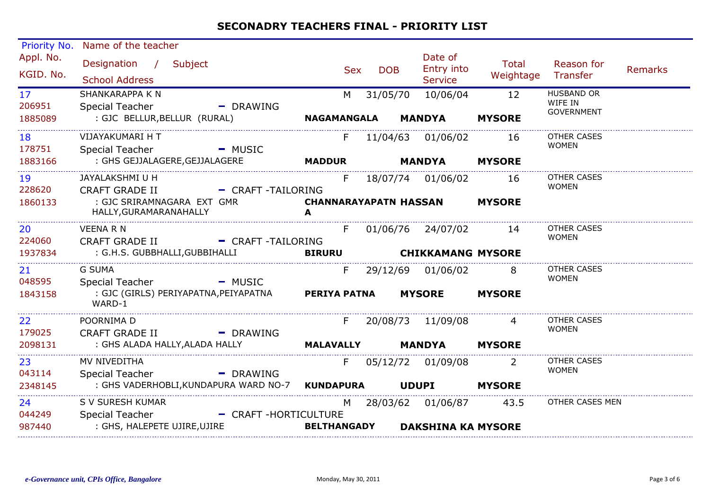| Priority No.           | Name of the teacher                                                                               |                                          |            |                                                  |                    |                                                   |                |
|------------------------|---------------------------------------------------------------------------------------------------|------------------------------------------|------------|--------------------------------------------------|--------------------|---------------------------------------------------|----------------|
| Appl. No.<br>KGID. No. | Designation / Subject<br><b>School Address</b>                                                    | Sex                                      | <b>DOB</b> | Date of<br>Entry into<br><b>Service</b>          | Total<br>Weightage | Reason for<br>Transfer                            | <b>Remarks</b> |
| 17<br>206951           | SHANKARAPPA K N<br>Special Teacher<br>- DRAWING                                                   | M                                        | 31/05/70   | 10/06/04                                         | 12                 | <b>HUSBAND OR</b><br>WIFE IN<br><b>GOVERNMENT</b> |                |
| 1885089                | : GJC BELLUR,BELLUR (RURAL)                                                                       | <b>NAGAMANGALA</b>                       |            | <b>MANDYA</b>                                    | <b>MYSORE</b>      |                                                   |                |
| 18<br>178751           | VIJAYAKUMARI H T<br>Special Teacher - MUSIC                                                       | F                                        |            | 11/04/63 01/06/02                                | 16                 | <b>OTHER CASES</b><br><b>WOMEN</b>                |                |
| 1883166                | : GHS GEJJALAGERE,GEJJALAGERE                                                                     | <b>MADDUR</b>                            |            | MANDYA                                           | <b>MYSORE</b>      |                                                   |                |
| 19<br>228620           | JAYALAKSHMI U H<br>- CRAFT -TAILORING<br><b>CRAFT GRADE II</b>                                    | F.                                       |            | 18/07/74 01/06/02 16                             |                    | <b>OTHER CASES</b><br><b>WOMEN</b>                |                |
| 1860133                | : GJC SRIRAMNAGARA EXT GMR<br>HALLY, GURAMARANAHALLY                                              | <b>CHANNARAYAPATN HASSAN MYSORE</b><br>A |            |                                                  |                    |                                                   |                |
| 20<br>224060           | <b>VEENA R N</b><br>CRAFT GRADE II - CRAFT -TAILORING                                             | F                                        |            | 01/06/76 24/07/02 14                             |                    | OTHER CASES<br><b>WOMEN</b>                       |                |
| 1937834                | : G.H.S. GUBBHALLI,GUBBIHALLI                                                                     | <b>BIRURU</b>                            |            | <b>CHIKKAMANG MYSORE</b>                         |                    |                                                   |                |
| 21<br>048595           | <b>G SUMA</b><br>Special Teacher - MUSIC                                                          |                                          |            | F 29/12/69 01/06/02 8                            |                    | <b>OTHER CASES</b><br><b>WOMEN</b>                |                |
| 1843158                | : GJC (GIRLS) PERIYAPATNA,PEIYAPATNA<br>WARD-1                                                    | <b>PERIYA PATNA</b>                      |            | <b>MYSORE</b>                                    | <b>MYSORE</b>      |                                                   |                |
| 22<br>179025           | POORNIMA D<br>- DRAWING<br>CRAFT GRADE II                                                         |                                          |            | F 20/08/73 11/09/08                              |                    | OTHER CASES<br><b>WOMEN</b>                       |                |
| 2098131                | : GHS ALADA HALLY, ALADA HALLY                                                                    | <b>MALAVALLY</b>                         |            | <b>MANDYA MYSORE</b>                             |                    |                                                   |                |
| 23<br>043114           | MV NIVEDITHA<br>Special Teacher<br>- DRAWING                                                      |                                          |            | F 05/12/72 01/09/08                              | <sup>2</sup>       | <b>OTHER CASES</b><br><b>WOMEN</b>                |                |
| 2348145                | : GHS VADERHOBLI,KUNDAPURA WARD NO-7 KUNDAPURA UDUPI                                              |                                          |            |                                                  | <b>MYSORE</b>      |                                                   |                |
| 24<br>044249<br>987440 | S V SURESH KUMAR<br><b>Special Teacher</b><br>- CRAFT-HORTICULTURE<br>: GHS, HALEPETE UJIRE,UJIRE | <b>BELTHANGADY</b>                       |            | M 28/03/62 01/06/87<br><b>DAKSHINA KA MYSORE</b> | 43.5               | OTHER CASES MEN                                   |                |
|                        |                                                                                                   |                                          |            |                                                  |                    |                                                   |                |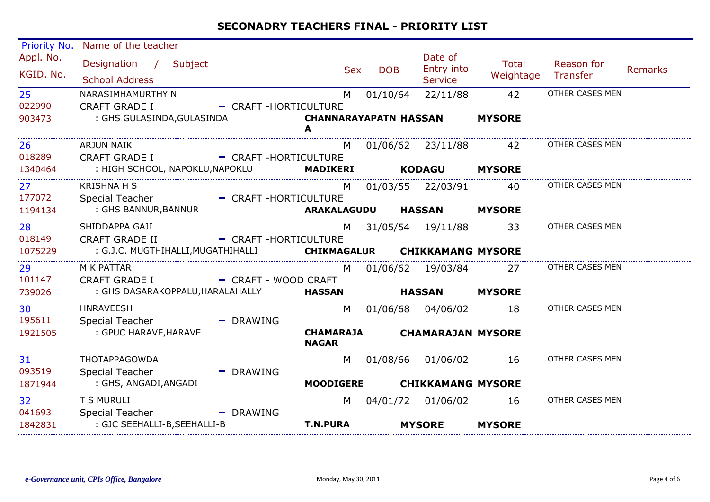| <b>Priority No.</b>    | Name of the teacher                                              |                        |                                   |            |                                         |                           |                        |                |
|------------------------|------------------------------------------------------------------|------------------------|-----------------------------------|------------|-----------------------------------------|---------------------------|------------------------|----------------|
| Appl. No.<br>KGID. No. | Designation / Subject<br><b>School Address</b>                   |                        | <b>Sex</b>                        | <b>DOB</b> | Date of<br>Entry into<br><b>Service</b> | <b>Total</b><br>Weightage | Reason for<br>Transfer | <b>Remarks</b> |
| 25 <sub>2</sub>        | NARASIMHAMURTHY N                                                |                        | M                                 | 01/10/64   | 22/11/88                                | 42                        | OTHER CASES MEN        |                |
| 022990                 | <b>CRAFT GRADE I</b>                                             | - CRAFT-HORTICULTURE   |                                   |            |                                         |                           |                        |                |
| 903473                 | : GHS GULASINDA, GULASINDA                                       |                        | <b>CHANNARAYAPATN HASSAN</b><br>A |            |                                         | <b>MYSORE</b>             |                        |                |
| 26                     | ARJUN NAIK                                                       |                        |                                   |            | M 01/06/62 23/11/88 42                  |                           | OTHER CASES MEN        |                |
| 018289                 | CRAFT GRADE I - CRAFT -HORTICULTURE                              |                        |                                   |            |                                         |                           |                        |                |
| 1340464                | : HIGH SCHOOL, NAPOKLU, NAPOKLU MADIKERI                         |                        |                                   |            | <b>KODAGU</b>                           | <b>MYSORE</b>             |                        |                |
| 27 <sup>°</sup>        | <b>KRISHNA H S</b>                                               |                        |                                   |            | M 01/03/55 22/03/91                     | 40                        | OTHER CASES MEN        |                |
| 177072                 | Special Teacher - CRAFT - HORTICULTURE                           |                        |                                   |            |                                         |                           |                        |                |
| 1194134                | : GHS BANNUR,BANNUR                                              |                        | ARAKALAGUDU                       |            | <b>HASSAN</b>                           | <b>MYSORE</b>             |                        |                |
| 28                     | SHIDDAPPA GAJI                                                   |                        | M                                 |            | 31/05/54 19/11/88 33                    |                           | OTHER CASES MEN        |                |
| 018149                 | <b>CRAFT GRADE II</b>                                            | - CRAFT-HORTICULTURE   |                                   |            |                                         |                           |                        |                |
| 1075229                | : G.J.C. MUGTHIHALLI, MUGATHIHALLI CHIKMAGALUR CHIKKAMANG MYSORE |                        |                                   |            |                                         |                           |                        |                |
| 29                     | M K PATTAR                                                       |                        | M                                 |            | 01/06/62 19/03/84                       | 27                        | OTHER CASES MEN        |                |
| 101147                 | <b>CRAFT GRADE I</b>                                             | - CRAFT - WOOD CRAFT   |                                   |            |                                         |                           |                        |                |
| 739026                 | : GHS DASARAKOPPALU, HARALAHALLY <b>HASSAN</b>                   |                        |                                   |            | HASSAN                                  | <b>MYSORE</b>             |                        |                |
| 30                     | <b>HNRAVEESH</b>                                                 |                        |                                   |            | M 01/06/68 04/06/02                     | 18                        | OTHER CASES MEN        |                |
| 195611                 | Special Teacher                                                  | - DRAWING              |                                   |            |                                         |                           |                        |                |
| 1921505                | : GPUC HARAVE, HARAVE                                            |                        | <b>CHAMARAJA</b><br><b>NAGAR</b>  |            | <b>CHAMARAJAN MYSORE</b>                |                           |                        |                |
| 31                     | THOTAPPAGOWDA                                                    |                        | M                                 |            |                                         | 16                        | OTHER CASES MEN        |                |
| 093519                 | <b>Special Teacher</b>                                           | - DRAWING              |                                   |            |                                         |                           |                        |                |
| 1871944                | : GHS, ANGADI,ANGADI                                             |                        | <b>MOODIGERE</b>                  |            | <b>CHIKKAMANG MYSORE</b>                |                           |                        |                |
| 32                     | T S MURULI                                                       |                        | M                                 |            |                                         | 16                        | OTHER CASES MEN        |                |
| 041693                 | Special Teacher Special Special Search                           | $\blacksquare$ DRAWING |                                   |            |                                         |                           |                        |                |
| 1842831                | : GJC SEEHALLI-B,SEEHALLI-B                                      |                        | <b>T.N.PURA</b>                   |            | <b>MYSORE</b>                           | <b>MYSORE</b>             |                        |                |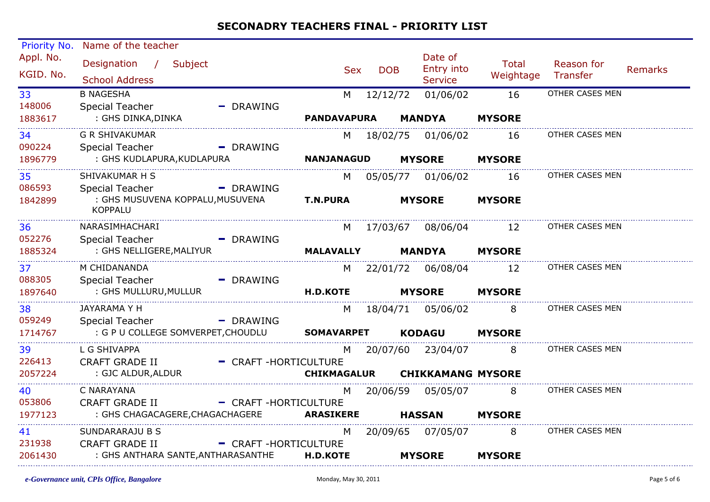| Priority No. | Name of the teacher                                |                      |                    |            |                          |               |                        |         |
|--------------|----------------------------------------------------|----------------------|--------------------|------------|--------------------------|---------------|------------------------|---------|
| Appl. No.    | Designation /<br>Subject                           |                      | <b>Sex</b>         | <b>DOB</b> | Date of<br>Entry into    | Total         | Reason for             | Remarks |
| KGID. No.    | <b>School Address</b>                              |                      |                    |            | <b>Service</b>           | Weightage     | Transfer               |         |
| 33           | <b>B NAGESHA</b>                                   |                      | M                  | 12/12/72   | 01/06/02                 | 16            | OTHER CASES MEN        |         |
| 148006       | <b>Special Teacher</b>                             | $-$ DRAWING          |                    |            |                          |               |                        |         |
| 1883617      | : GHS DINKA, DINKA                                 |                      | <b>PANDAVAPURA</b> |            | <b>MANDYA</b>            | <b>MYSORE</b> |                        |         |
| 34           | <b>G R SHIVAKUMAR</b>                              |                      |                    |            | M 18/02/75 01/06/02      | 16            | OTHER CASES MEN        |         |
| 090224       | Special Teacher                                    | - DRAWING            |                    |            |                          |               |                        |         |
| 1896779      | : GHS KUDLAPURA, KUDLAPURA                         |                      | <b>NANJANAGUD</b>  |            | <b>MYSORE</b>            | <b>MYSORE</b> |                        |         |
| 35           | SHIVAKUMAR H S                                     |                      |                    |            | M 05/05/77 01/06/02      | 16            | OTHER CASES MEN        |         |
| 086593       | Special Teacher                                    | - DRAWING            |                    |            |                          |               |                        |         |
| 1842899      | : GHS MUSUVENA KOPPALU, MUSUVENA<br><b>KOPPALU</b> |                      | <b>T.N.PURA</b>    |            | <b>MYSORE</b>            | <b>MYSORE</b> |                        |         |
| 36           | NARASIMHACHARI                                     |                      |                    |            | M 17/03/67 08/06/04      | 12            | OTHER CASES MEN        |         |
| 052276       | Special Teacher                                    | - DRAWING            |                    |            |                          |               |                        |         |
| 1885324      | : GHS NELLIGERE, MALIYUR                           |                      | <b>MALAVALLY</b>   |            | <b>MANDYA</b>            | <b>MYSORE</b> |                        |         |
| 37           | M CHIDANANDA                                       |                      |                    |            | M 22/01/72 06/08/04 12   |               | OTHER CASES MEN        |         |
| 088305       | Special Teacher                                    | - DRAWING            |                    |            |                          |               |                        |         |
| 1897640      | : GHS MULLURU, MULLUR                              |                      | <b>H.D.KOTE</b>    |            | <b>MYSORE</b>            | <b>MYSORE</b> |                        |         |
| 38           | JAYARAMA Y H                                       |                      |                    |            | M 18/04/71 05/06/02      | 8             | OTHER CASES MEN        |         |
| 059249       | Special Teacher                                    | - DRAWING            |                    |            |                          |               |                        |         |
| 1714767      | : G P U COLLEGE SOMVERPET, CHOUDLU SOMAVARPET      |                      |                    |            | <b>KODAGU</b>            | <b>MYSORE</b> |                        |         |
| 39           | L G SHIVAPPA                                       |                      | M                  |            | 20/07/60 23/04/07        | <b>8</b>      | <b>OTHER CASES MEN</b> |         |
| 226413       | <b>CRAFT GRADE II</b>                              | - CRAFT-HORTICULTURE |                    |            |                          |               |                        |         |
| 2057224      | : GJC ALDUR, ALDUR                                 |                      | <b>CHIKMAGALUR</b> |            | <b>CHIKKAMANG MYSORE</b> |               |                        |         |
| 40           | C NARAYANA                                         |                      |                    |            | M 20/06/59 05/05/07      |               | OTHER CASES MEN        |         |
| 053806       | <b>CRAFT GRADE II</b>                              | - CRAFT-HORTICULTURE |                    |            |                          |               |                        |         |
| 1977123      | : GHS CHAGACAGERE, CHAGACHAGERE                    |                      | <b>ARASIKERE</b>   |            | <b>HASSAN</b>            | <b>MYSORE</b> |                        |         |
| 41           | SUNDARARAJU B S                                    |                      | M                  |            | 20/09/65 07/05/07        | 8             | OTHER CASES MEN        |         |
| 231938       | <b>CRAFT GRADE II</b>                              | - CRAFT-HORTICULTURE |                    |            |                          |               |                        |         |
| 2061430      | : GHS ANTHARA SANTE, ANTHARASANTHE                 |                      | <b>H.D.KOTE</b>    |            | <b>MYSORE</b>            | <b>MYSORE</b> |                        |         |
|              |                                                    |                      |                    |            |                          |               |                        |         |